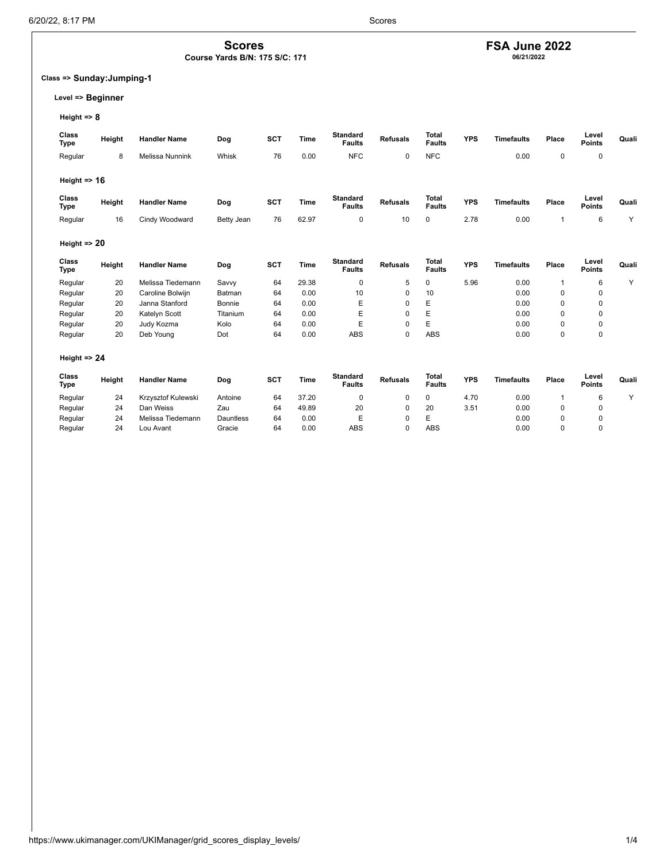# **FSA June 2022 06/21/2022**

## **Class => Sunday:Jumping-1**

## **Level => Beginner**

**Height => 8**

| Class<br><b>Type</b>    | Height | <b>Handler Name</b>    | Dog        | SCT | Time  | <b>Standard</b><br><b>Faults</b> | <b>Refusals</b> | <b>Total</b><br><b>Faults</b> | <b>YPS</b> | <b>Timefaults</b> | Place        | Level<br><b>Points</b> | Quali |
|-------------------------|--------|------------------------|------------|-----|-------|----------------------------------|-----------------|-------------------------------|------------|-------------------|--------------|------------------------|-------|
| Regular                 | 8      | <b>Melissa Nunnink</b> | Whisk      | 76  | 0.00  | <b>NFC</b>                       | 0               | <b>NFC</b>                    |            | 0.00              | 0            | $\mathbf 0$            |       |
|                         |        |                        |            |     |       |                                  |                 |                               |            |                   |              |                        |       |
| Height $\Rightarrow$ 16 |        |                        |            |     |       |                                  |                 |                               |            |                   |              |                        |       |
| Class<br><b>Type</b>    | Height | <b>Handler Name</b>    | Dog        | SCT | Time  | <b>Standard</b><br><b>Faults</b> | <b>Refusals</b> | <b>Total</b><br><b>Faults</b> | <b>YPS</b> | <b>Timefaults</b> | Place        | Level<br><b>Points</b> | Quali |
| Regular                 | 16     | Cindy Woodward         | Betty Jean | 76  | 62.97 | 0                                | 10              | 0                             | 2.78       | 0.00              | -1           | 6                      | Y     |
|                         |        |                        |            |     |       |                                  |                 |                               |            |                   |              |                        |       |
| Height $\Rightarrow$ 20 |        |                        |            |     |       |                                  |                 |                               |            |                   |              |                        |       |
| Class<br><b>Type</b>    | Height | <b>Handler Name</b>    | Dog        | SCT | Time  | <b>Standard</b><br><b>Faults</b> | <b>Refusals</b> | Total<br><b>Faults</b>        | <b>YPS</b> | <b>Timefaults</b> | Place        | Level<br><b>Points</b> | Quali |
| Regular                 | 20     | Melissa Tiedemann      | Savvy      | 64  | 29.38 | 0                                | 5               | 0                             | 5.96       | 0.00              | $\mathbf{1}$ | 6                      | Y     |
| Regular                 | 20     | Caroline Bolwijn       | Batman     | 64  | 0.00  | 10                               | 0               | 10                            |            | 0.00              | $\mathbf 0$  | $\mathbf 0$            |       |
| Regular                 | 20     | Janna Stanford         | Bonnie     | 64  | 0.00  | E                                | $\mathbf 0$     | E                             |            | 0.00              | $\Omega$     | 0                      |       |
| Regular                 | 20     | Katelyn Scott          | Titanium   | 64  | 0.00  | E                                | $\mathbf 0$     | E                             |            | 0.00              | $\mathbf 0$  | $\mathbf 0$            |       |
| Regular                 | 20     | Judy Kozma             | Kolo       | 64  | 0.00  | E                                | $\mathbf 0$     | E                             |            | 0.00              | 0            | 0                      |       |
| Regular                 | 20     | Deb Young              | Dot        | 64  | 0.00  | <b>ABS</b>                       | $\mathbf 0$     | <b>ABS</b>                    |            | 0.00              | $\mathbf 0$  | $\mathbf 0$            |       |
| Height $\Rightarrow$ 24 |        |                        |            |     |       |                                  |                 |                               |            |                   |              |                        |       |
| Class<br><b>Type</b>    | Height | <b>Handler Name</b>    | Dog        | SCT | Time  | <b>Standard</b><br><b>Faults</b> | <b>Refusals</b> | <b>Total</b><br><b>Faults</b> | <b>YPS</b> | <b>Timefaults</b> | Place        | Level<br><b>Points</b> | Quali |
| Regular                 | 24     | Krzysztof Kulewski     | Antoine    | 64  | 37.20 | 0                                | 0               | 0                             | 4.70       | 0.00              | $\mathbf{1}$ | 6                      | Y     |
| Regular                 | 24     | Dan Weiss              | Zau        | 64  | 49.89 | 20                               | $\mathbf 0$     | 20                            | 3.51       | 0.00              | 0            | 0                      |       |
| Regular                 | 24     | Melissa Tiedemann      | Dauntless  | 64  | 0.00  | E                                | $\mathbf 0$     | E                             |            | 0.00              | 0            | 0                      |       |
| Regular                 | 24     | Lou Avant              | Gracie     | 64  | 0.00  | <b>ABS</b>                       | $\mathbf 0$     | <b>ABS</b>                    |            | 0.00              | $\Omega$     | 0                      |       |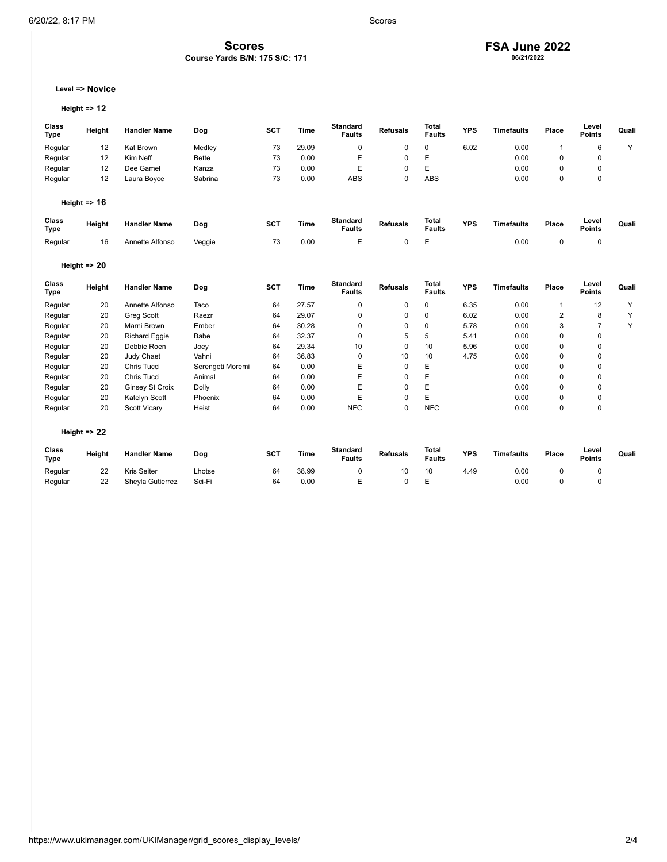# **FSA June 2022 06/21/2022**

## **Level => Novice**

```
Height => 12
```

| Class<br><b>Type</b> | Height                  | <b>Handler Name</b>    | Dog              | <b>SCT</b> | <b>Time</b> | <b>Standard</b><br><b>Faults</b> | <b>Refusals</b> | <b>Total</b><br><b>Faults</b> | <b>YPS</b> | <b>Timefaults</b> | Place          | Level<br><b>Points</b> | Quali |
|----------------------|-------------------------|------------------------|------------------|------------|-------------|----------------------------------|-----------------|-------------------------------|------------|-------------------|----------------|------------------------|-------|
| Regular              | 12                      | Kat Brown              | Medley           | 73         | 29.09       | 0                                | 0               | 0                             | 6.02       | 0.00              | $\mathbf{1}$   | 6                      | Y     |
| Regular              | 12                      | Kim Neff               | <b>Bette</b>     | 73         | 0.00        | E                                | 0               | E                             |            | 0.00              | $\mathbf 0$    | $\mathbf 0$            |       |
| Regular              | 12                      | Dee Gamel              | Kanza            | 73         | 0.00        | E                                | 0               | E                             |            | 0.00              | 0              | 0                      |       |
| Regular              | 12                      | Laura Boyce            | Sabrina          | 73         | 0.00        | <b>ABS</b>                       | 0               | <b>ABS</b>                    |            | 0.00              | $\mathbf 0$    | $\mathbf 0$            |       |
|                      | Height $\Rightarrow$ 16 |                        |                  |            |             |                                  |                 |                               |            |                   |                |                        |       |
| Class<br><b>Type</b> | Height                  | <b>Handler Name</b>    | Dog              | <b>SCT</b> | <b>Time</b> | <b>Standard</b><br><b>Faults</b> | <b>Refusals</b> | <b>Total</b><br><b>Faults</b> | <b>YPS</b> | <b>Timefaults</b> | Place          | Level<br><b>Points</b> | Quali |
| Regular              | 16                      | Annette Alfonso        | Veggie           | 73         | 0.00        | E                                | 0               | E                             |            | 0.00              | $\pmb{0}$      | 0                      |       |
|                      | Height $\Rightarrow$ 20 |                        |                  |            |             |                                  |                 |                               |            |                   |                |                        |       |
| Class<br><b>Type</b> | Height                  | <b>Handler Name</b>    | Dog              | <b>SCT</b> | Time        | <b>Standard</b><br><b>Faults</b> | <b>Refusals</b> | Total<br><b>Faults</b>        | <b>YPS</b> | <b>Timefaults</b> | Place          | Level<br><b>Points</b> | Quali |
| Regular              | 20                      | Annette Alfonso        | Taco             | 64         | 27.57       | 0                                | 0               | $\mathbf 0$                   | 6.35       | 0.00              | $\mathbf{1}$   | 12                     | Υ     |
| Regular              | 20                      | <b>Greg Scott</b>      | Raezr            | 64         | 29.07       | 0                                | 0               | $\mathbf 0$                   | 6.02       | 0.00              | $\overline{2}$ | 8                      | Y     |
| Regular              | 20                      | Marni Brown            | Ember            | 64         | 30.28       | 0                                | 0               | 0                             | 5.78       | 0.00              | 3              | $\overline{7}$         | Y     |
| Regular              | 20                      | <b>Richard Eggie</b>   | Babe             | 64         | 32.37       | 0                                | 5               | 5                             | 5.41       | 0.00              | $\mathbf 0$    | $\mathbf 0$            |       |
| Regular              | 20                      | Debbie Roen            | Joey             | 64         | 29.34       | 10                               | 0               | 10                            | 5.96       | 0.00              | $\mathbf 0$    | $\mathbf 0$            |       |
| Regular              | 20                      | Judy Chaet             | Vahni            | 64         | 36.83       | 0                                | 10              | 10                            | 4.75       | 0.00              | $\mathbf 0$    | 0                      |       |
| Regular              | 20                      | Chris Tucci            | Serengeti Moremi | 64         | 0.00        | E                                | $\Omega$        | E                             |            | 0.00              | $\mathbf 0$    | $\mathbf 0$            |       |
| Regular              | 20                      | Chris Tucci            | Animal           | 64         | 0.00        | E                                | $\Omega$        | E                             |            | 0.00              | $\mathbf 0$    | 0                      |       |
| Regular              | 20                      | <b>Ginsey St Croix</b> | Dolly            | 64         | 0.00        | E                                | 0               | E                             |            | 0.00              | $\mathbf 0$    | 0                      |       |
| Regular              | 20                      | Katelyn Scott          | Phoenix          | 64         | 0.00        | E                                | 0               | E                             |            | 0.00              | 0              | 0                      |       |
| Regular              | 20                      | <b>Scott Vicary</b>    | Heist            | 64         | 0.00        | <b>NFC</b>                       | $\Omega$        | <b>NFC</b>                    |            | 0.00              | $\mathbf 0$    | $\mathbf 0$            |       |
|                      | Height $\Rightarrow$ 22 |                        |                  |            |             |                                  |                 |                               |            |                   |                |                        |       |
| Class<br>Type        | Height                  | <b>Handler Name</b>    | Dog              | <b>SCT</b> | <b>Time</b> | <b>Standard</b><br><b>Faults</b> | <b>Refusals</b> | <b>Total</b><br><b>Faults</b> | <b>YPS</b> | <b>Timefaults</b> | Place          | Level<br><b>Points</b> | Quali |
| Regular              | 22                      | Kris Seiter            | Lhotse           | 64         | 38.99       | 0                                | 10              | 10                            | 4.49       | 0.00              | 0              | $\mathbf 0$            |       |
| Regular              | 22                      | Sheyla Gutierrez       | Sci-Fi           | 64         | 0.00        | E                                | $\Omega$        | E                             |            | 0.00              | $\mathbf 0$    | $\mathbf 0$            |       |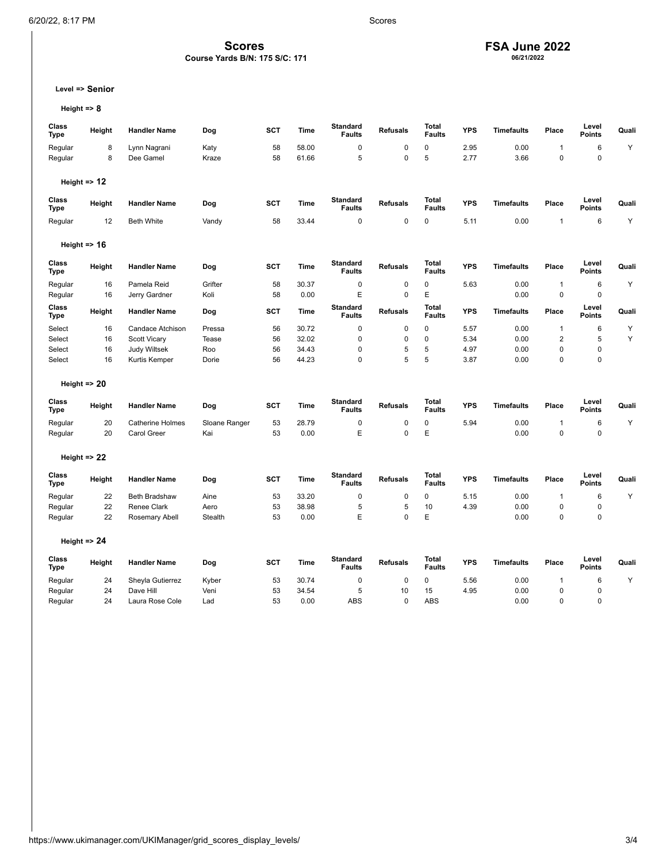## **FSA June 2022 06/21/2022**

**Level => Senior**

**Height => 8**

| Class<br><b>Type</b> | Height                  | <b>Handler Name</b>     | Dog           | SCT        | <b>Time</b> | <b>Standard</b><br><b>Faults</b> | <b>Refusals</b> | <b>Total</b><br><b>Faults</b> | <b>YPS</b> | <b>Timefaults</b> | Place          | Level<br><b>Points</b> | Quali |
|----------------------|-------------------------|-------------------------|---------------|------------|-------------|----------------------------------|-----------------|-------------------------------|------------|-------------------|----------------|------------------------|-------|
| Regular              | 8                       | Lynn Nagrani            | Katy          | 58         | 58.00       | $\mathbf 0$                      | $\mathbf 0$     | $\pmb{0}$                     | 2.95       | 0.00              | $\overline{1}$ | $6\phantom{1}6$        | Υ     |
| Regular              | 8                       | Dee Gamel               | Kraze         | 58         | 61.66       | 5                                | $\mathbf 0$     | 5                             | 2.77       | 3.66              | $\mathbf 0$    | $\mathbf 0$            |       |
|                      | Height $\Rightarrow$ 12 |                         |               |            |             |                                  |                 |                               |            |                   |                |                        |       |
| Class<br><b>Type</b> | Height                  | <b>Handler Name</b>     | Dog           | <b>SCT</b> | <b>Time</b> | <b>Standard</b><br><b>Faults</b> | <b>Refusals</b> | <b>Total</b><br><b>Faults</b> | <b>YPS</b> | <b>Timefaults</b> | Place          | Level<br><b>Points</b> | Quali |
| Regular              | 12                      | <b>Beth White</b>       | Vandy         | 58         | 33.44       | $\mathbf 0$                      | $\mathbf 0$     | 0                             | 5.11       | 0.00              | $\overline{1}$ | 6                      | Υ     |
|                      | Height $\approx$ 16     |                         |               |            |             |                                  |                 |                               |            |                   |                |                        |       |
| Class<br><b>Type</b> | Height                  | <b>Handler Name</b>     | Dog           | <b>SCT</b> | <b>Time</b> | <b>Standard</b><br><b>Faults</b> | <b>Refusals</b> | Total<br><b>Faults</b>        | <b>YPS</b> | <b>Timefaults</b> | Place          | Level<br><b>Points</b> | Quali |
| Regular              | 16                      | Pamela Reid             | Grifter       | 58         | 30.37       | 0                                | $\mathbf 0$     | $\pmb{0}$                     | 5.63       | 0.00              | $\mathbf{1}$   | $\,6$                  | Y     |
| Regular              | 16                      | Jerry Gardner           | Koli          | 58         | 0.00        | E                                | $\mathbf 0$     | E                             |            | 0.00              | $\mathbf{0}$   | $\mathbf 0$            |       |
| Class<br><b>Type</b> | Height                  | <b>Handler Name</b>     | Dog           | <b>SCT</b> | Time        | <b>Standard</b><br><b>Faults</b> | <b>Refusals</b> | <b>Total</b><br><b>Faults</b> | <b>YPS</b> | <b>Timefaults</b> | Place          | Level<br><b>Points</b> | Quali |
| Select               | 16                      | Candace Atchison        | Pressa        | 56         | 30.72       | $\mathbf 0$                      | $\mathbf 0$     | 0                             | 5.57       | 0.00              | $\mathbf{1}$   | 6                      | Υ     |
| Select               | 16                      | <b>Scott Vicary</b>     | Tease         | 56         | 32.02       | $\mathbf 0$                      | $\mathbf 0$     | $\mathbf 0$                   | 5.34       | 0.00              | $\overline{2}$ | 5                      | Y     |
| Select               | 16                      | <b>Judy Wiltsek</b>     | Roo           | 56         | 34.43       | $\mathbf 0$                      | 5               | 5                             | 4.97       | 0.00              | $\mathbf 0$    | 0                      |       |
| Select               | 16                      | Kurtis Kemper           | Dorie         | 56         | 44.23       | $\mathbf 0$                      | 5               | 5                             | 3.87       | 0.00              | $\mathbf 0$    | 0                      |       |
|                      | Height $\Rightarrow$ 20 |                         |               |            |             |                                  |                 |                               |            |                   |                |                        |       |
| Class<br>Type        | Height                  | <b>Handler Name</b>     | Dog           | SCT        | Time        | <b>Standard</b><br><b>Faults</b> | <b>Refusals</b> | Total<br><b>Faults</b>        | <b>YPS</b> | <b>Timefaults</b> | Place          | Level<br><b>Points</b> | Quali |
| Regular              | 20                      | <b>Catherine Holmes</b> | Sloane Ranger | 53         | 28.79       | 0                                | 0               | 0                             | 5.94       | 0.00              | $\overline{1}$ | 6                      | Υ     |
| Regular              | 20                      | <b>Carol Greer</b>      | Kai           | 53         | 0.00        | E                                | $\mathbf 0$     | E                             |            | 0.00              | $\mathbf 0$    | 0                      |       |
|                      | Height $\Rightarrow$ 22 |                         |               |            |             |                                  |                 |                               |            |                   |                |                        |       |
| Class<br>Type        | Height                  | <b>Handler Name</b>     | Dog           | SCT        | <b>Time</b> | <b>Standard</b><br><b>Faults</b> | <b>Refusals</b> | Total<br><b>Faults</b>        | <b>YPS</b> | <b>Timefaults</b> | Place          | Level<br>Points        | Quali |
| Regular              | 22                      | <b>Beth Bradshaw</b>    | Aine          | 53         | 33.20       | 0                                | $\mathbf 0$     | $\pmb{0}$                     | 5.15       | 0.00              | $\mathbf{1}$   | 6                      | Υ     |
| Regular              | 22                      | Renee Clark             | Aero          | 53         | 38.98       | 5                                | 5               | 10                            | 4.39       | 0.00              | $\mathbf 0$    | 0                      |       |
| Regular              | 22                      | Rosemary Abell          | Stealth       | 53         | 0.00        | E                                | $\mathbf 0$     | E                             |            | 0.00              | $\mathbf 0$    | 0                      |       |
|                      | Height $\Rightarrow$ 24 |                         |               |            |             |                                  |                 |                               |            |                   |                |                        |       |
| Class<br>Type        | Height                  | <b>Handler Name</b>     | Dog           | SCT        | Time        | <b>Standard</b><br><b>Faults</b> | <b>Refusals</b> | Total<br><b>Faults</b>        | <b>YPS</b> | <b>Timefaults</b> | Place          | Level<br>Points        | Quali |
| Regular              | 24                      | Sheyla Gutierrez        | Kyber         | 53         | 30.74       | 0                                | 0               | 0                             | 5.56       | 0.00              | $\mathbf{1}$   | 6                      | Y     |
| Regular              | 24                      | Dave Hill               | Veni          | 53         | 34.54       | 5                                | 10              | 15                            | 4.95       | 0.00              | $\mathbf 0$    | 0                      |       |
| Regular              | 24                      | Laura Rose Cole         | Lad           | 53         | 0.00        | <b>ABS</b>                       | $\mathbf{0}$    | <b>ABS</b>                    |            | 0.00              | $\mathbf 0$    | $\Omega$               |       |